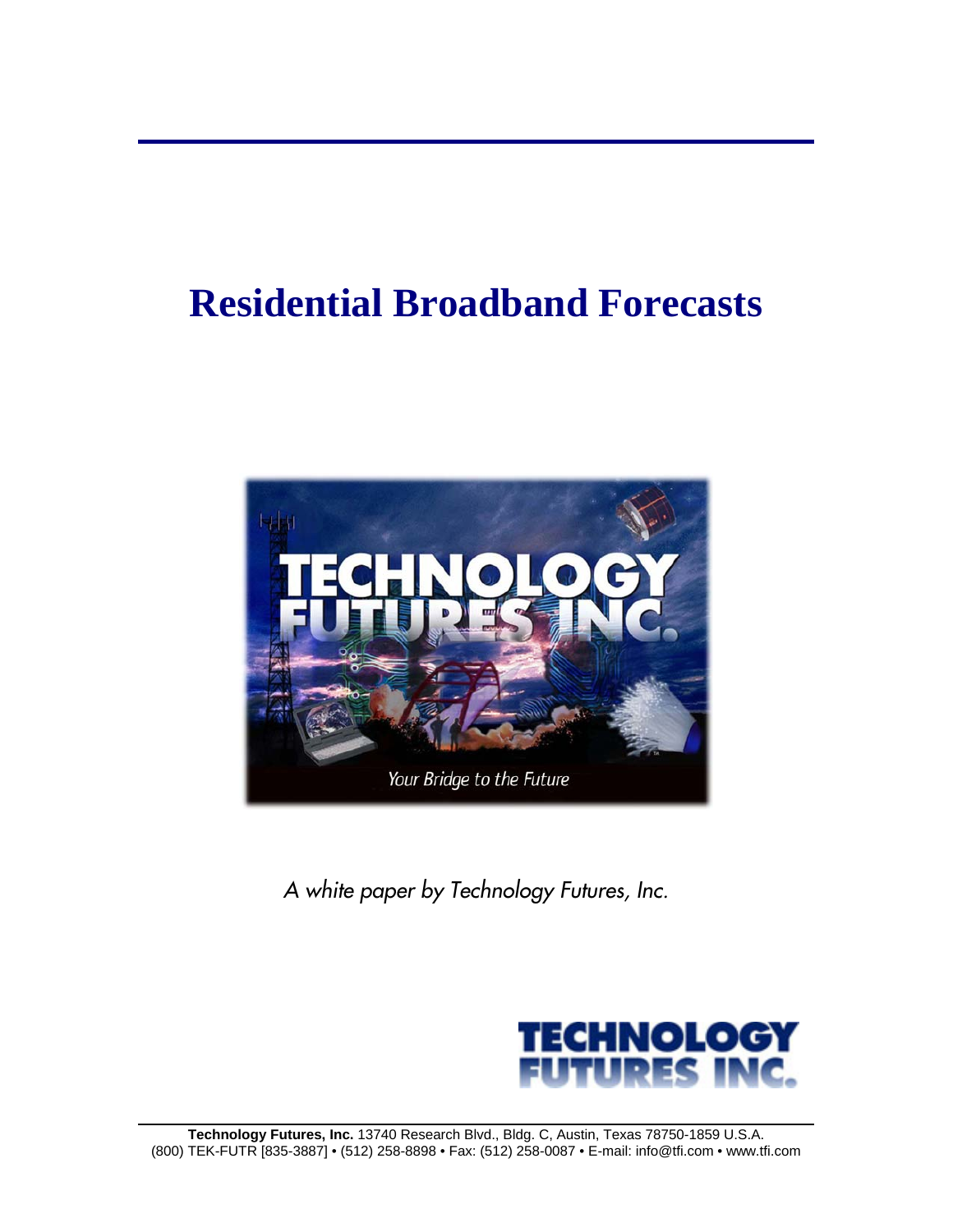# **Residential Broadband Forecasts**



*A white paper by Technology Futures, Inc.* 

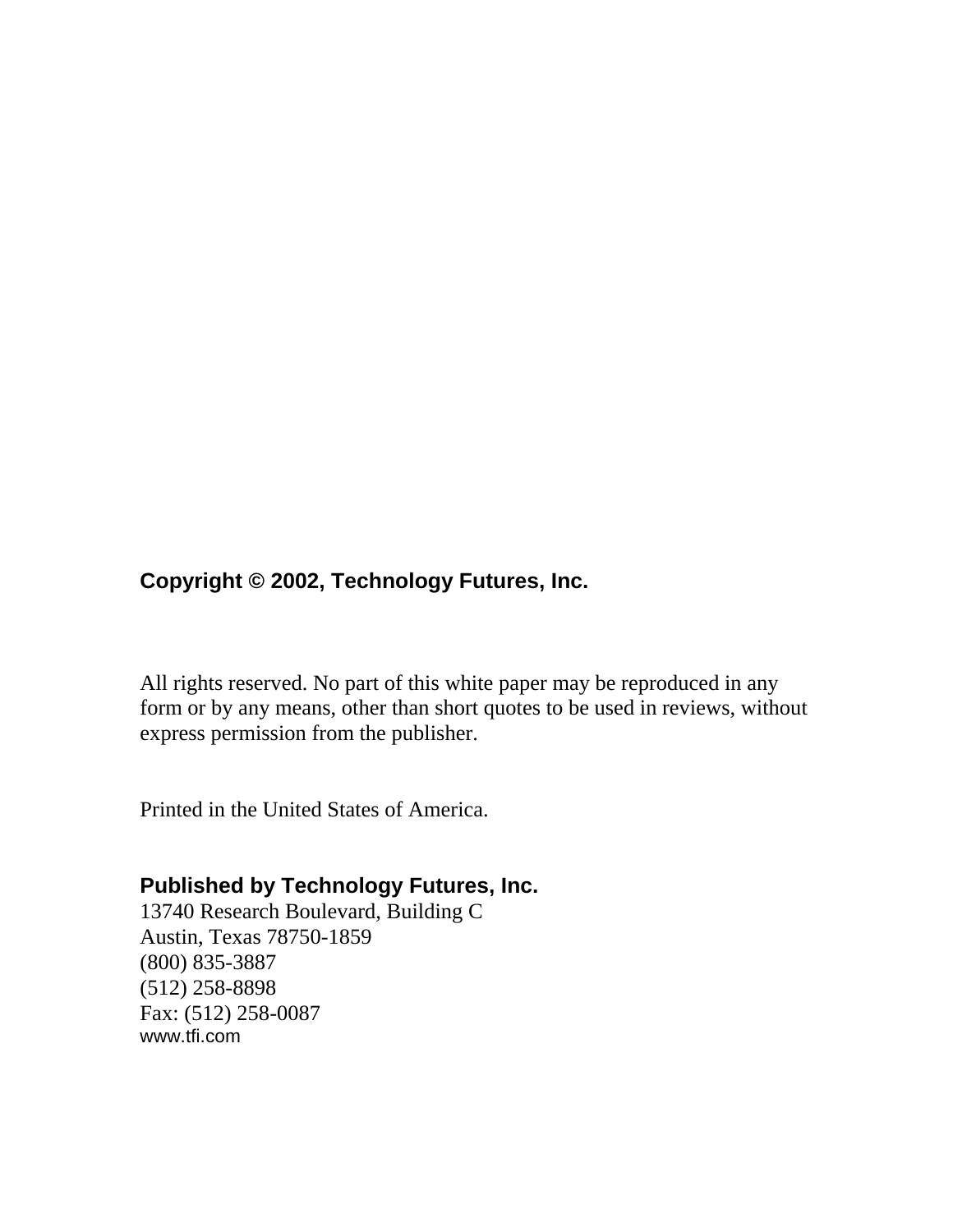# **Copyright © 2002, Technology Futures, Inc.**

All rights reserved. No part of this white paper may be reproduced in any form or by any means, other than short quotes to be used in reviews, without express permission from the publisher.

Printed in the United States of America.

# **Published by Technology Futures, Inc.**

13740 Research Boulevard, Building C Austin, Texas 78750-1859 (800) 835-3887 (512) 258-8898 Fax: (512) 258-0087 www.tfi.com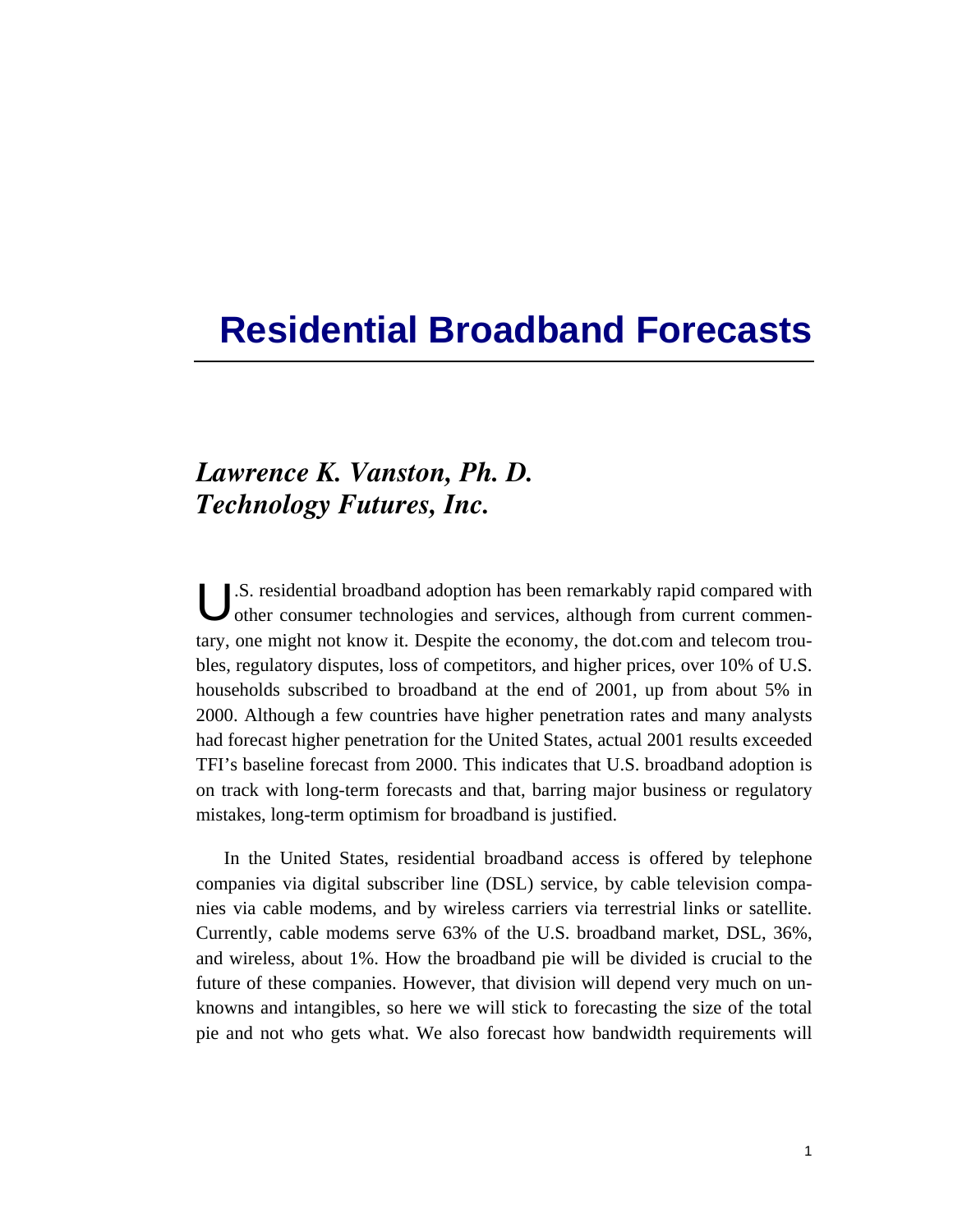# **Residential Broadband Forecasts**

# *Lawrence K. Vanston, Ph. D. Technology Futures, Inc.*

.S. residential broadband adoption has been remarkably rapid compared with U.S. residential broadband adoption has been remarkably rapid compared with other consumer technologies and services, although from current commentary, one might not know it. Despite the economy, the dot.com and telecom troubles, regulatory disputes, loss of competitors, and higher prices, over 10% of U.S. households subscribed to broadband at the end of 2001, up from about 5% in 2000. Although a few countries have higher penetration rates and many analysts had forecast higher penetration for the United States, actual 2001 results exceeded TFI's baseline forecast from 2000. This indicates that U.S. broadband adoption is on track with long-term forecasts and that, barring major business or regulatory mistakes, long-term optimism for broadband is justified.

In the United States, residential broadband access is offered by telephone companies via digital subscriber line (DSL) service, by cable television companies via cable modems, and by wireless carriers via terrestrial links or satellite. Currently, cable modems serve 63% of the U.S. broadband market, DSL, 36%, and wireless, about 1%. How the broadband pie will be divided is crucial to the future of these companies. However, that division will depend very much on unknowns and intangibles, so here we will stick to forecasting the size of the total pie and not who gets what. We also forecast how bandwidth requirements will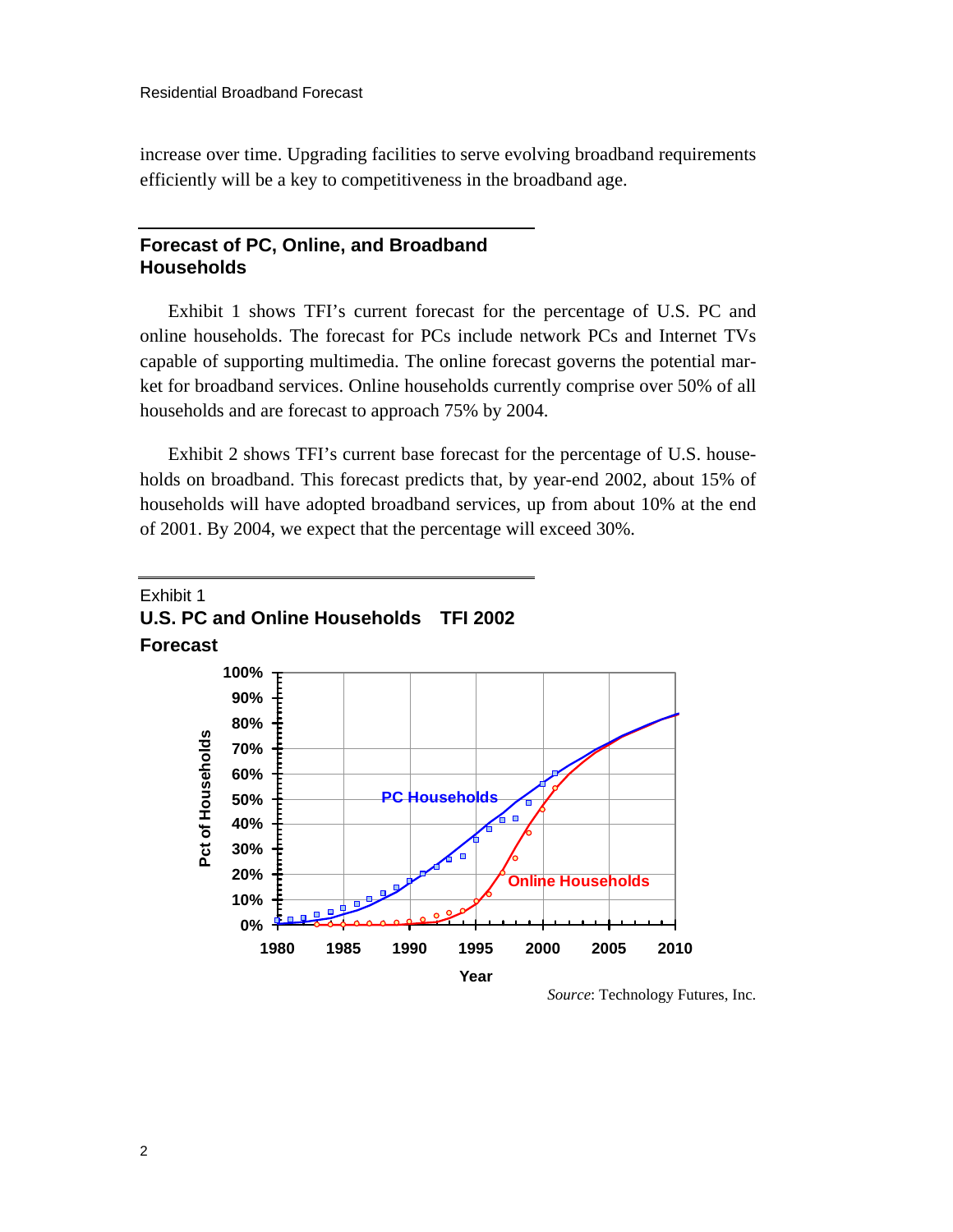increase over time. Upgrading facilities to serve evolving broadband requirements efficiently will be a key to competitiveness in the broadband age.

#### **Forecast of PC, Online, and Broadband Households**

Exhibit 1 shows TFI's current forecast for the percentage of U.S. PC and online households. The forecast for PCs include network PCs and Internet TVs capable of supporting multimedia. The online forecast governs the potential market for broadband services. Online households currently comprise over 50% of all households and are forecast to approach 75% by 2004.

Exhibit 2 shows TFI's current base forecast for the percentage of U.S. households on broadband. This forecast predicts that, by year-end 2002, about 15% of households will have adopted broadband services, up from about 10% at the end of 2001. By 2004, we expect that the percentage will exceed 30%.

#### Exhibit 1 **U.S. PC and Online Households TFI 2002 Forecast**



*Source*: Technology Futures, Inc.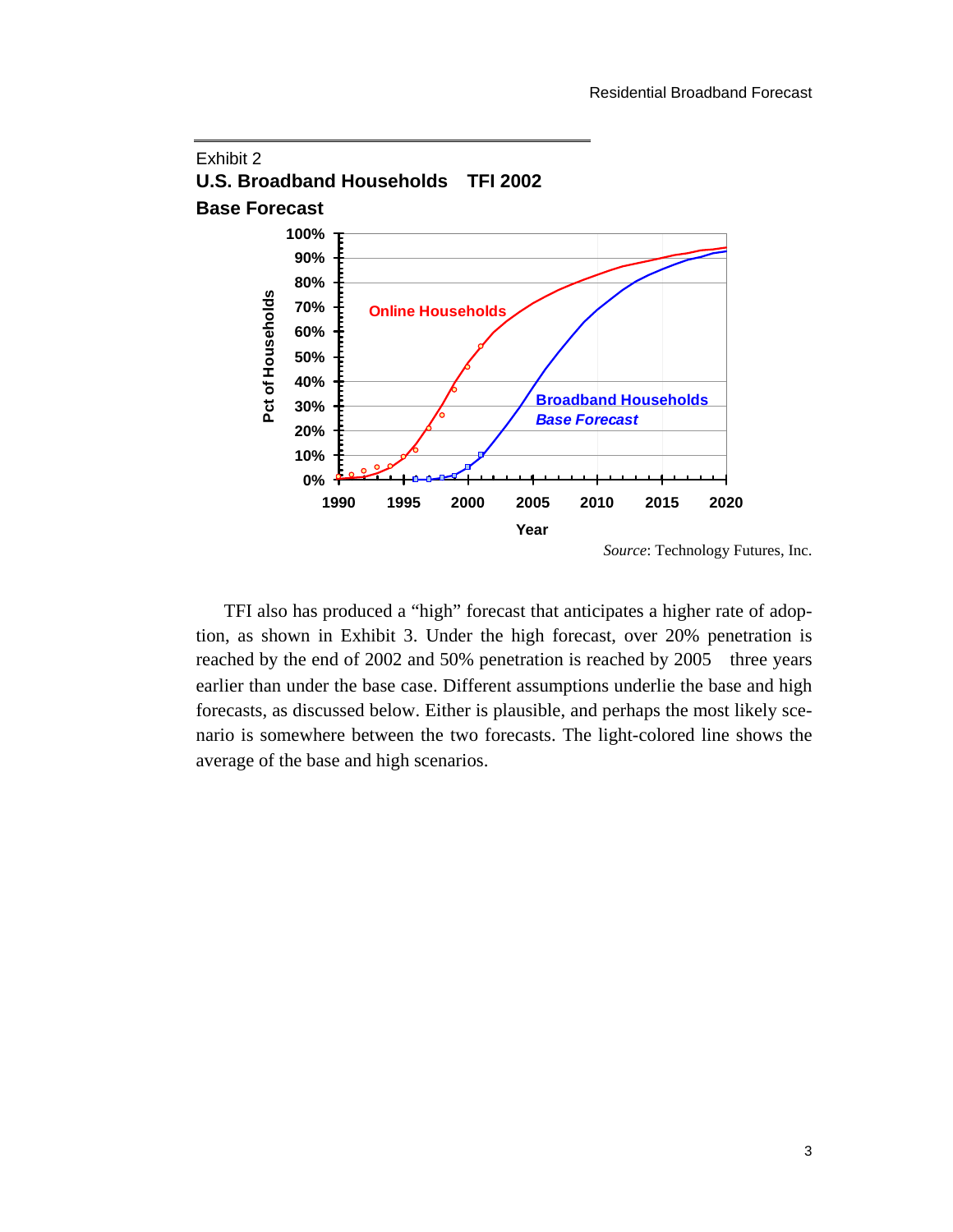

TFI also has produced a "high" forecast that anticipates a higher rate of adoption, as shown in Exhibit 3. Under the high forecast, over 20% penetration is reached by the end of 2002 and 50% penetration is reached by 2005 three years earlier than under the base case. Different assumptions underlie the base and high forecasts, as discussed below. Either is plausible, and perhaps the most likely scenario is somewhere between the two forecasts. The light-colored line shows the average of the base and high scenarios.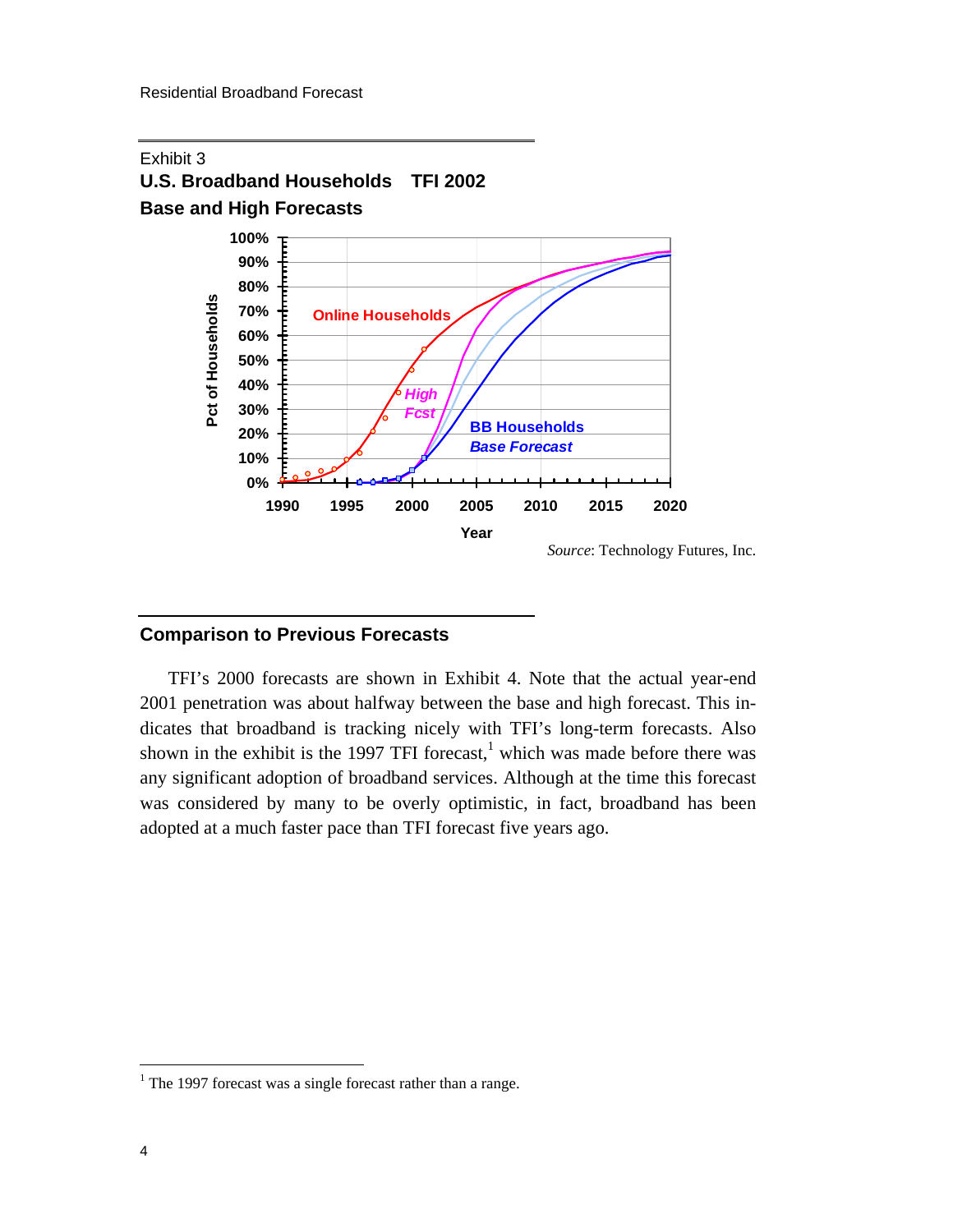

#### **Comparison to Previous Forecasts**

TFI's 2000 forecasts are shown in Exhibit 4. Note that the actual year-end 2001 penetration was about halfway between the base and high forecast. This indicates that broadband is tracking nicely with TFI's long-term forecasts. Also shown in the exhibit is the 1997 TFI forecast,<sup>1</sup> which was made before there was any significant adoption of broadband service[s.](#page-5-0) Although at the time this forecast was considered by many to be overly optimistic, in fact, broadband has been adopted at a much faster pace than TFI forecast five years ago.

<span id="page-5-0"></span><sup>&</sup>lt;sup>1</sup> The 1997 forecast was a single forecast rather than a range.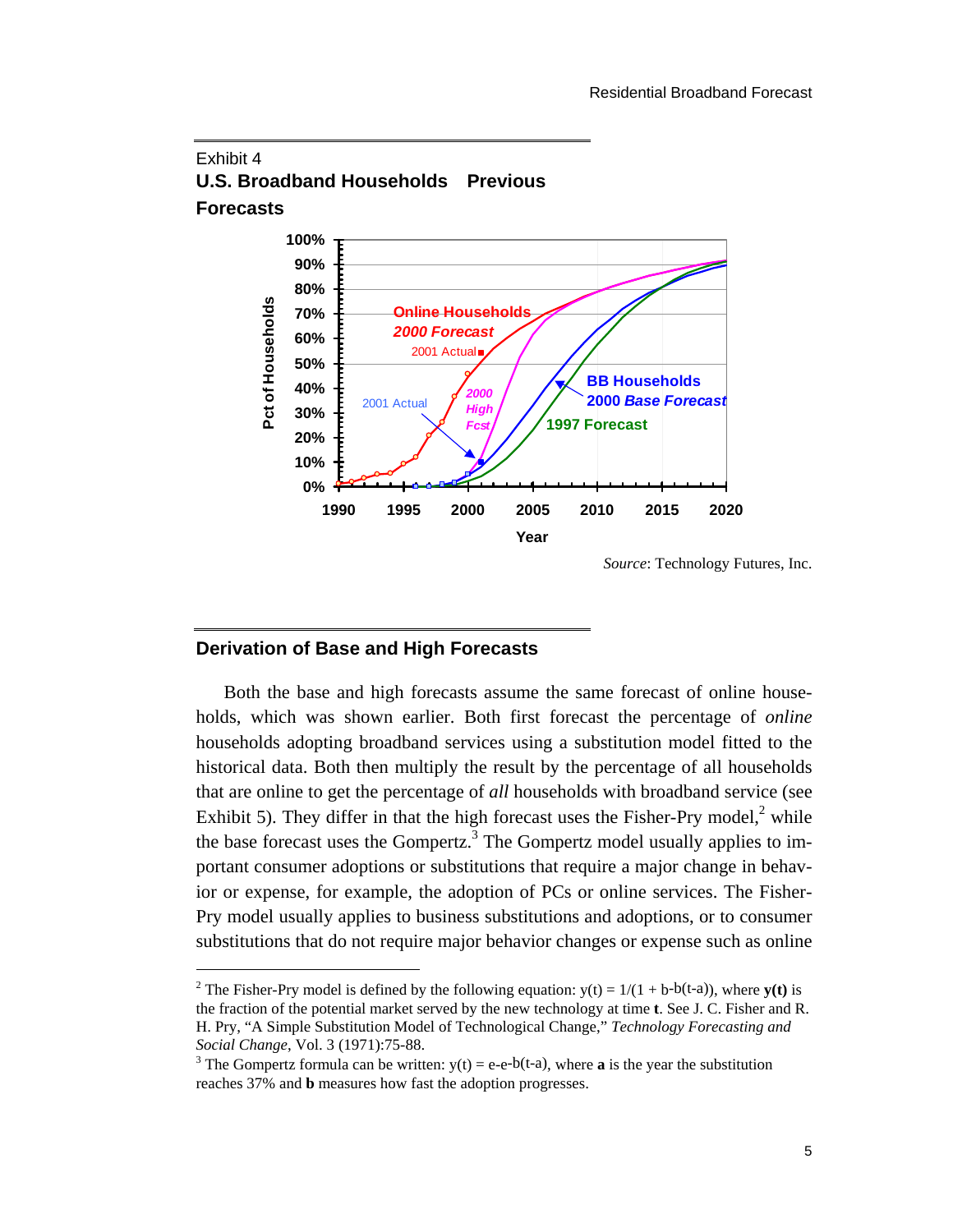

#### Exhibit 4 **U.S. Broadband Households Previous Forecasts**

*Source*: Technology Futures, Inc.

#### **Derivation of Base and High Forecasts**

-

Both the base and high forecasts assume the same forecast of online households, which was shown earlier. Both first forecast the percentage of *online* households adopting broadband services using a substitution model fitted to the historical data. Both then multiply the result by the percentage of all households that are online to get the percentage of *all* households with broadband service (see Exhibit 5). They differ in that the high forecast uses the Fisher-Pry model, $2$  while the base forecast use[s t](#page-6-0)he Gompertz.<sup>3</sup> The Gompertz model usually applies to important consumer adoptions or subst[itu](#page-6-1)tions that require a major change in behavior or expense, for example, the adoption of PCs or online services. The Fisher-Pry model usually applies to business substitutions and adoptions, or to consumer substitutions that do not require major behavior changes or expense such as online

<span id="page-6-0"></span><sup>&</sup>lt;sup>2</sup> The Fisher-Pry model is defined by the following equation:  $y(t) = 1/(1 + b-b(t-a))$ , where  $y(t)$  is the fraction of the potential market served by the new technology at time **t**. See J. C. Fisher and R. H. Pry, "A Simple Substitution Model of Technological Change," *Technology Forecasting and Social Change*, Vol. 3 (1971):75-88.

<span id="page-6-1"></span><sup>&</sup>lt;sup>3</sup> The Gompertz formula can be written:  $y(t) = e-e^{-b(t-a)}$ , where **a** is the year the substitution reaches 37% and **b** measures how fast the adoption progresses.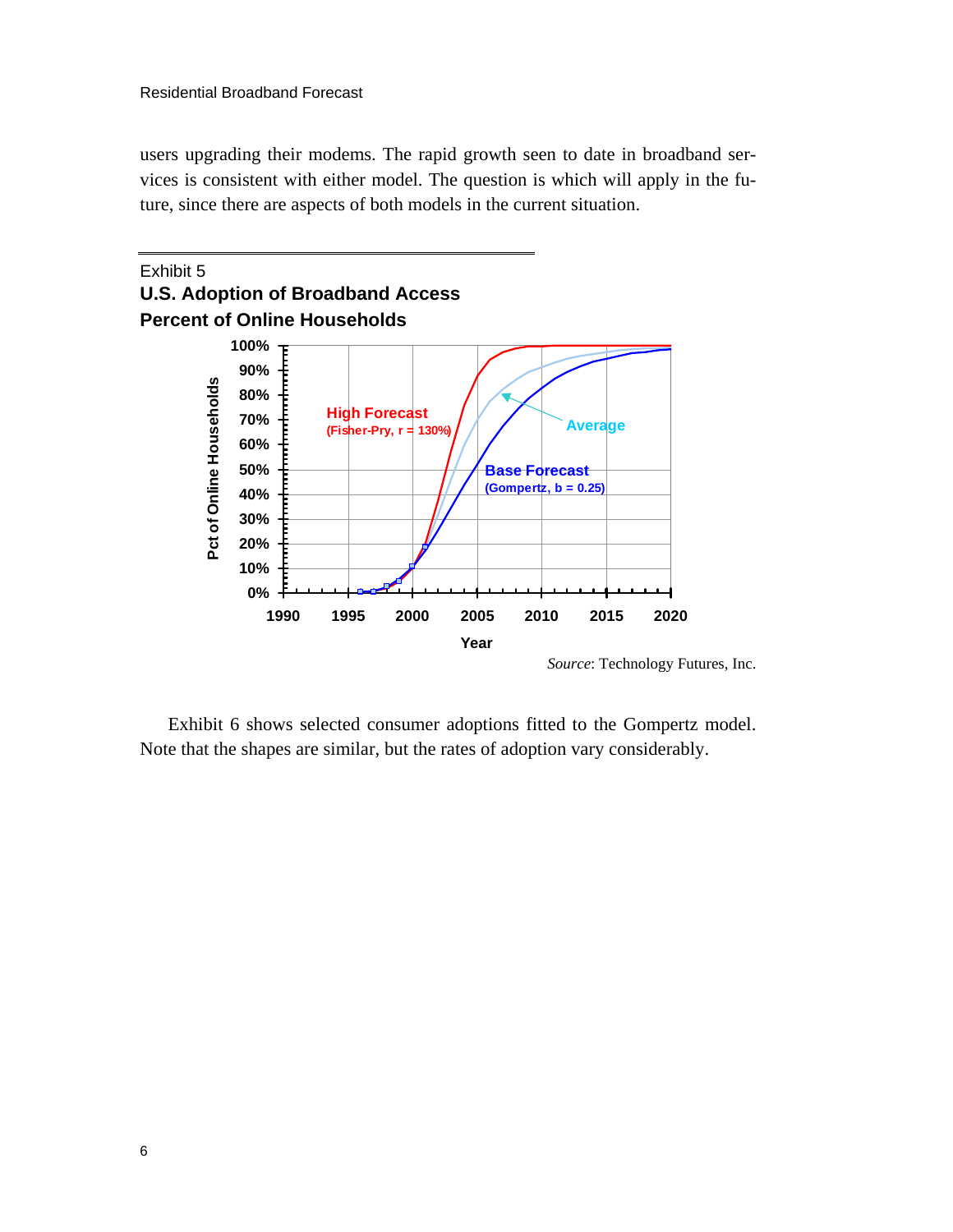users upgrading their modems. The rapid growth seen to date in broadband services is consistent with either model. The question is which will apply in the future, since there are aspects of both models in the current situation.



Exhibit 6 shows selected consumer adoptions fitted to the Gompertz model. Note that the shapes are similar, but the rates of adoption vary considerably.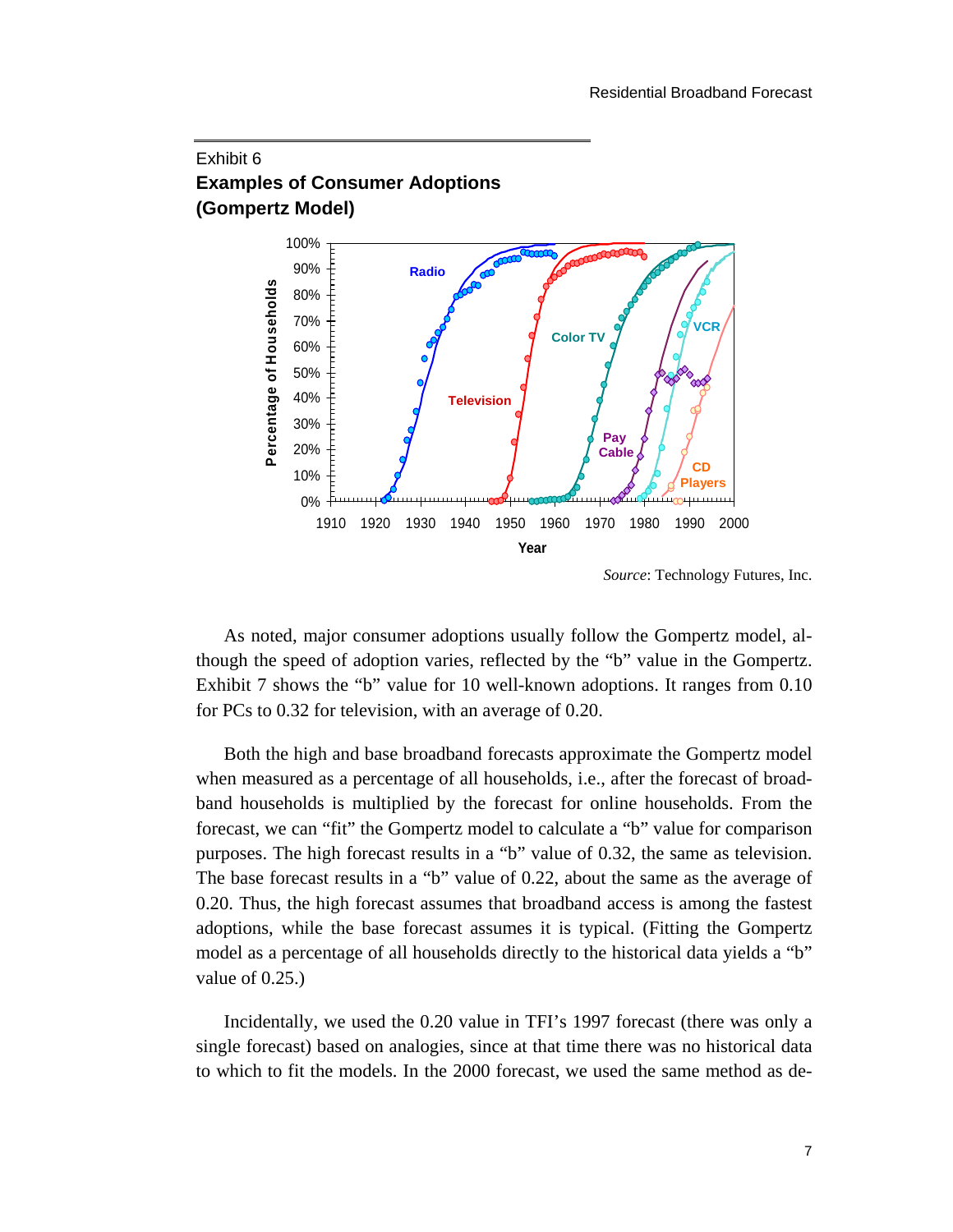### Exhibit 6 **Examples of Consumer Adoptions (Gompertz Model)**



*Source*: Technology Futures, Inc.

As noted, major consumer adoptions usually follow the Gompertz model, although the speed of adoption varies, reflected by the "b" value in the Gompertz. Exhibit 7 shows the "b" value for 10 well-known adoptions. It ranges from 0.10 for PCs to 0.32 for television, with an average of 0.20.

Both the high and base broadband forecasts approximate the Gompertz model when measured as a percentage of all households, i.e., after the forecast of broadband households is multiplied by the forecast for online households. From the forecast, we can "fit" the Gompertz model to calculate a "b" value for comparison purposes. The high forecast results in a "b" value of 0.32, the same as television. The base forecast results in a "b" value of 0.22, about the same as the average of 0.20. Thus, the high forecast assumes that broadband access is among the fastest adoptions, while the base forecast assumes it is typical. (Fitting the Gompertz model as a percentage of all households directly to the historical data yields a "b" value of 0.25.)

Incidentally, we used the 0.20 value in TFI's 1997 forecast (there was only a single forecast) based on analogies, since at that time there was no historical data to which to fit the models. In the 2000 forecast, we used the same method as de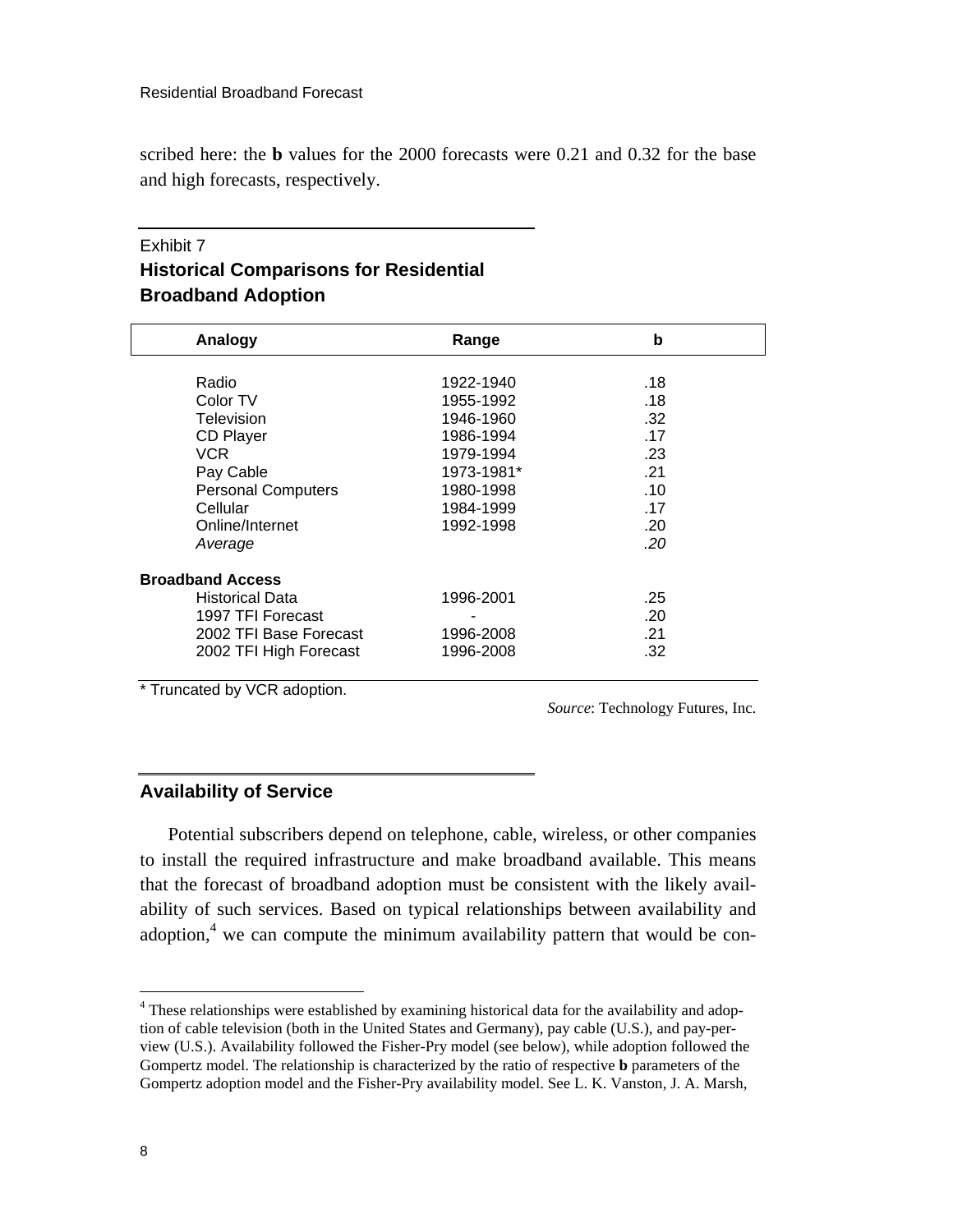scribed here: the **b** values for the 2000 forecasts were 0.21 and 0.32 for the base and high forecasts, respectively.

### Exhibit 7 **Historical Comparisons for Residential Broadband Adoption**

| Analogy                   | Range                  | b   |  |
|---------------------------|------------------------|-----|--|
|                           |                        | .18 |  |
| Radio<br>Color TV         | 1922-1940<br>1955-1992 | .18 |  |
| Television                | 1946-1960              | .32 |  |
| <b>CD Player</b>          | 1986-1994              | .17 |  |
| VCR.                      | 1979-1994              | .23 |  |
| Pay Cable                 | 1973-1981*             | .21 |  |
| <b>Personal Computers</b> | 1980-1998              | .10 |  |
| Cellular                  | 1984-1999              | .17 |  |
| Online/Internet           | 1992-1998              | .20 |  |
| Average                   |                        | .20 |  |
| <b>Broadband Access</b>   |                        |     |  |
| <b>Historical Data</b>    | 1996-2001              | .25 |  |
| 1997 TFI Forecast         |                        | .20 |  |
| 2002 TFI Base Forecast    | 1996-2008              | .21 |  |
| 2002 TFI High Forecast    | 1996-2008              | .32 |  |

\* Truncated by VCR adoption.

*Source*: Technology Futures, Inc.

#### **Availability of Service**

Potential subscribers depend on telephone, cable, wireless, or other companies to install the required infrastructure and make broadband available. This means that the forecast of broadband adoption must be consistent with the likely availability of such services. Based on typical relationships between availability and adoption,<sup>4</sup>we can compute the minimum availability pattern that would be con-

<span id="page-9-0"></span> 4 These relationships were established by examining historical data for the availability and adoption of cable television (both in the United States and Germany), pay cable (U.S.), and pay-perview (U.S.). Availability followed the Fisher-Pry model (see below), while adoption followed the Gompertz model. The relationship is characterized by the ratio of respective **b** parameters of the Gompertz adoption model and the Fisher-Pry availability model. See L. K. Vanston, J. A. Marsh,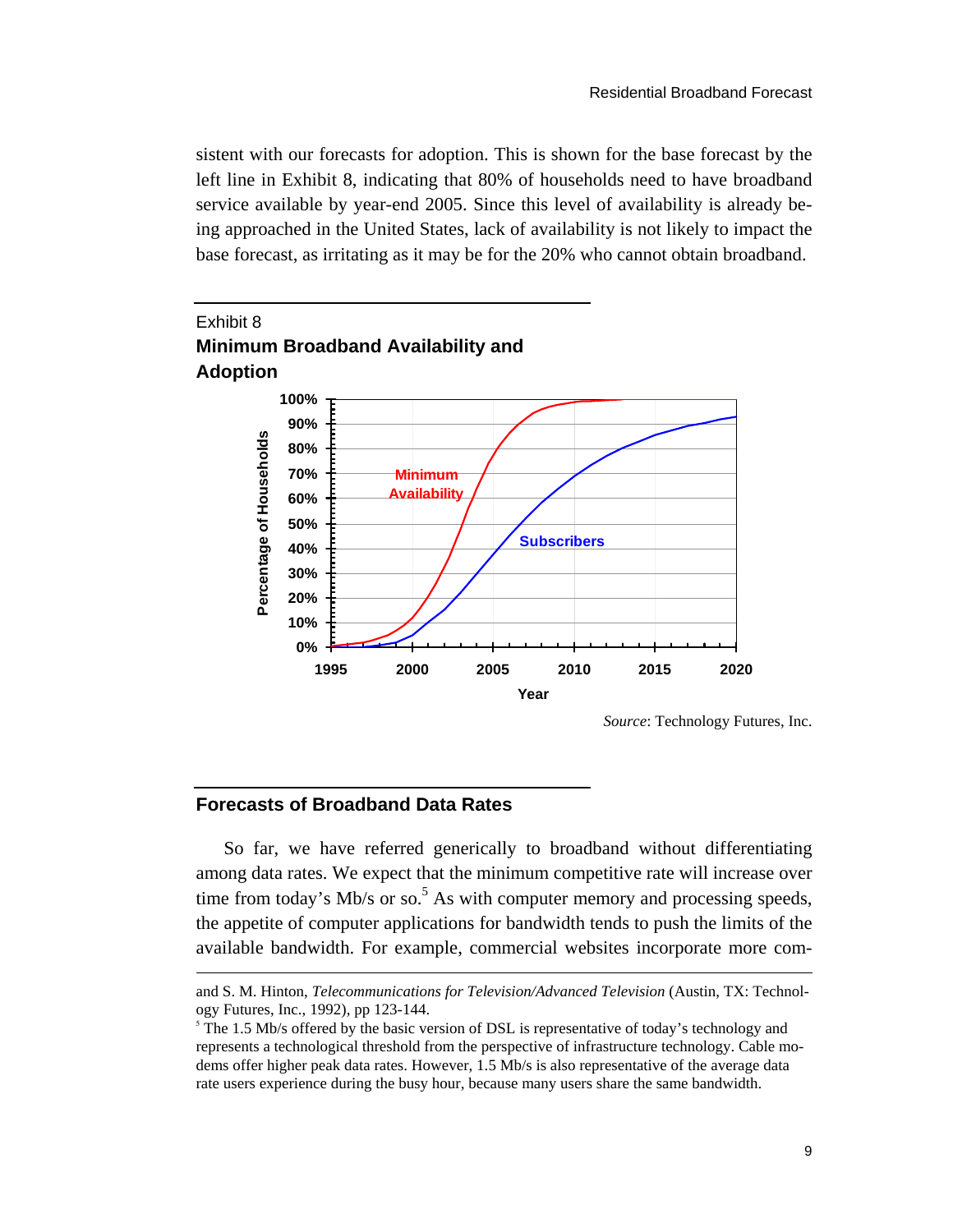sistent with our forecasts for adoption. This is shown for the base forecast by the left line in Exhibit 8, indicating that 80% of households need to have broadband service available by year-end 2005. Since this level of availability is already being approached in the United States, lack of availability is not likely to impact the base forecast, as irritating as it may be for the 20% who cannot obtain broadband.



#### *Source*: Technology Futures, Inc.

#### **Forecasts of Broadband Data Rates**

 $\overline{a}$ 

So far, we have referred generically to broadband without differentiating among data rates. We expect that the minimum competitive rate will increase over time from today's Mb/s or so.<sup>5</sup> As with computer memory and processing speeds, the appetite of computer appli[ca](#page-10-0)tions for bandwidth tends to push the limits of the available bandwidth. For example, commercial websites incorporate more com-

and S. M. Hinton, *Telecommunications for Television/Advanced Television* (Austin, TX: Technology Futures, Inc., 1992), pp 123-144.

<span id="page-10-0"></span> $5$  The 1.5 Mb/s offered by the basic version of DSL is representative of today's technology and represents a technological threshold from the perspective of infrastructure technology. Cable modems offer higher peak data rates. However, 1.5 Mb/s is also representative of the average data rate users experience during the busy hour, because many users share the same bandwidth.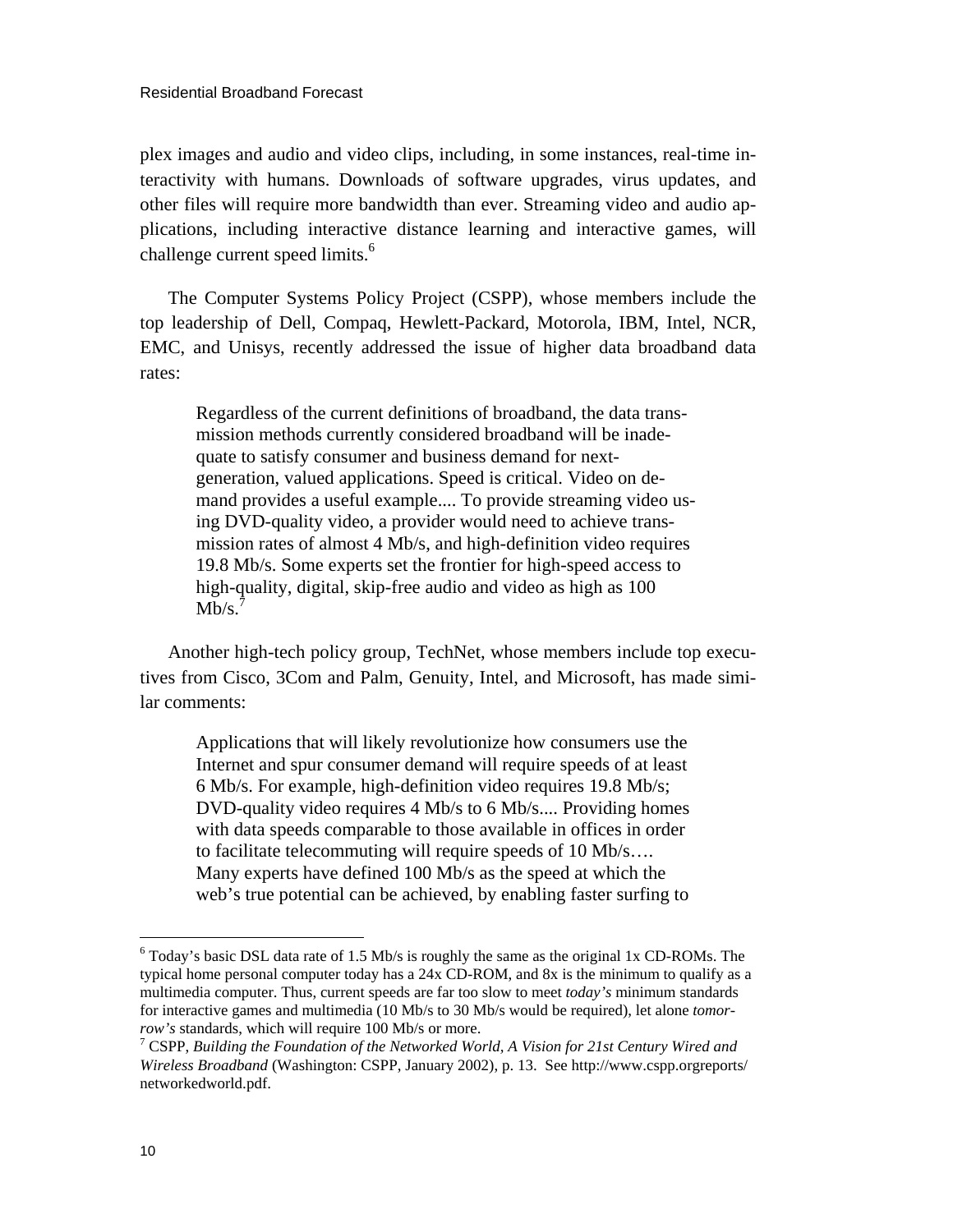plex images and audio and video clips, including, in some instances, real-time interactivity with humans. Downloads of software upgrades, virus updates, and other files will require more bandwidth than ever. Streaming video and audio applications, including interactive distance learning and interactive games, will challenge current speed limits.<sup>6</sup>

The Computer Systems Policy Project (CSPP), whose members include the top leadership of Dell, Compaq, Hewlett-Packard, Motorola, IBM, Intel, NCR, EMC, and Unisys, recently addressed the issue of higher data broadband data rates:

Regardless of the current definitions of broadband, the data transmission methods currently considered broadband will be inadequate to satisfy consumer and business demand for nextgeneration, valued applications. Speed is critical. Video on demand provides a useful example.... To provide streaming video using DVD-quality video, a provider would need to achieve transmission rates of almost 4 Mb/s, and high-definition video requires 19.8 Mb/s. Some experts set the frontier for high-speed access to high-quality, digital, skip-free audio and video as high as 100  $Mb/s.<sup>7</sup>$ 

Another high-tech policy group, TechNet, whose members include top executives from Cisco, 3Com and Palm, Genuity, Intel, and Microsoft, has made similar comments:

Applications that will likely revolutionize how consumers use the Internet and spur consumer demand will require speeds of at least 6 Mb/s. For example, high-definition video requires 19.8 Mb/s; DVD-quality video requires 4 Mb/s to 6 Mb/s.... Providing homes with data speeds comparable to those available in offices in order to facilitate telecommuting will require speeds of 10 Mb/s…. Many experts have defined 100 Mb/s as the speed at which the web's true potential can be achieved, by enabling faster surfing to

 $\overline{a}$ 

<span id="page-11-0"></span> $6$  Today's basic DSL data rate of 1.5 Mb/s is roughly the same as the original 1x CD-ROMs. The typical home personal computer today has a 24x CD-ROM, and 8x is the minimum to qualify as a multimedia computer. Thus, current speeds are far too slow to meet *today's* minimum standards for interactive games and multimedia (10 Mb/s to 30 Mb/s would be required), let alone *tomorrow's* standards, which will require 100 Mb/s or more.

<span id="page-11-1"></span>CSPP, *Building the Foundation of the Networked World, A Vision for 21st Century Wired and Wireless Broadband* (Washington: CSPP, January 2002), p. 13. See http://www.cspp.orgreports/ networkedworld.pdf.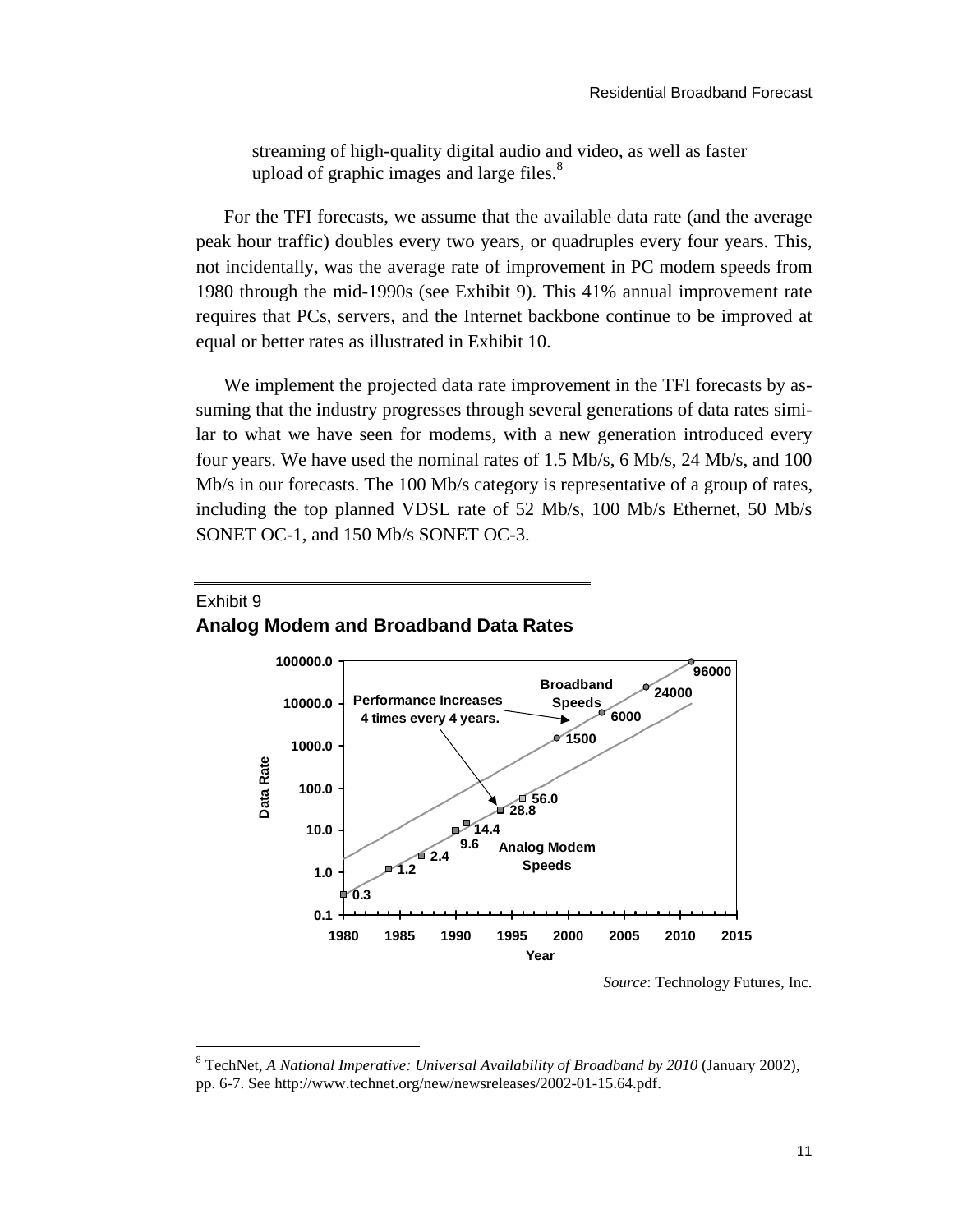streaming of high-quality digital audio and video, as well as faster upload of graphic images and large files.<sup>8</sup>

For the TFI forecasts, we assume that the available data rate (and the average peak hour traffic) doubles every two years, or quadruples every four years. This, not incidentally, was the average rate of improvement in PC modem speeds from 1980 through the mid-1990s (see Exhibit 9). This 41% annual improvement rate requires that PCs, servers, and the Internet backbone continue to be improved at equal or better rates as illustrated in Exhibit 10.

We implement the projected data rate improvement in the TFI forecasts by assuming that the industry progresses through several generations of data rates similar to what we have seen for modems, with a new generation introduced every four years. We have used the nominal rates of 1.5 Mb/s, 6 Mb/s, 24 Mb/s, and 100 Mb/s in our forecasts. The 100 Mb/s category is representative of a group of rates, including the top planned VDSL rate of 52 Mb/s, 100 Mb/s Ethernet, 50 Mb/s SONET OC-1, and 150 Mb/s SONET OC-3.



#### Exhibit 9 **Analog Modem and Broadband Data Rates**

l

*Source*: Technology Futures, Inc.

<span id="page-12-0"></span><sup>8</sup> TechNet, *A National Imperative: Universal Availability of Broadband by 2010* (January 2002), pp. 6-7. See http://www.technet.org/new/newsreleases/2002-01-15.64.pdf.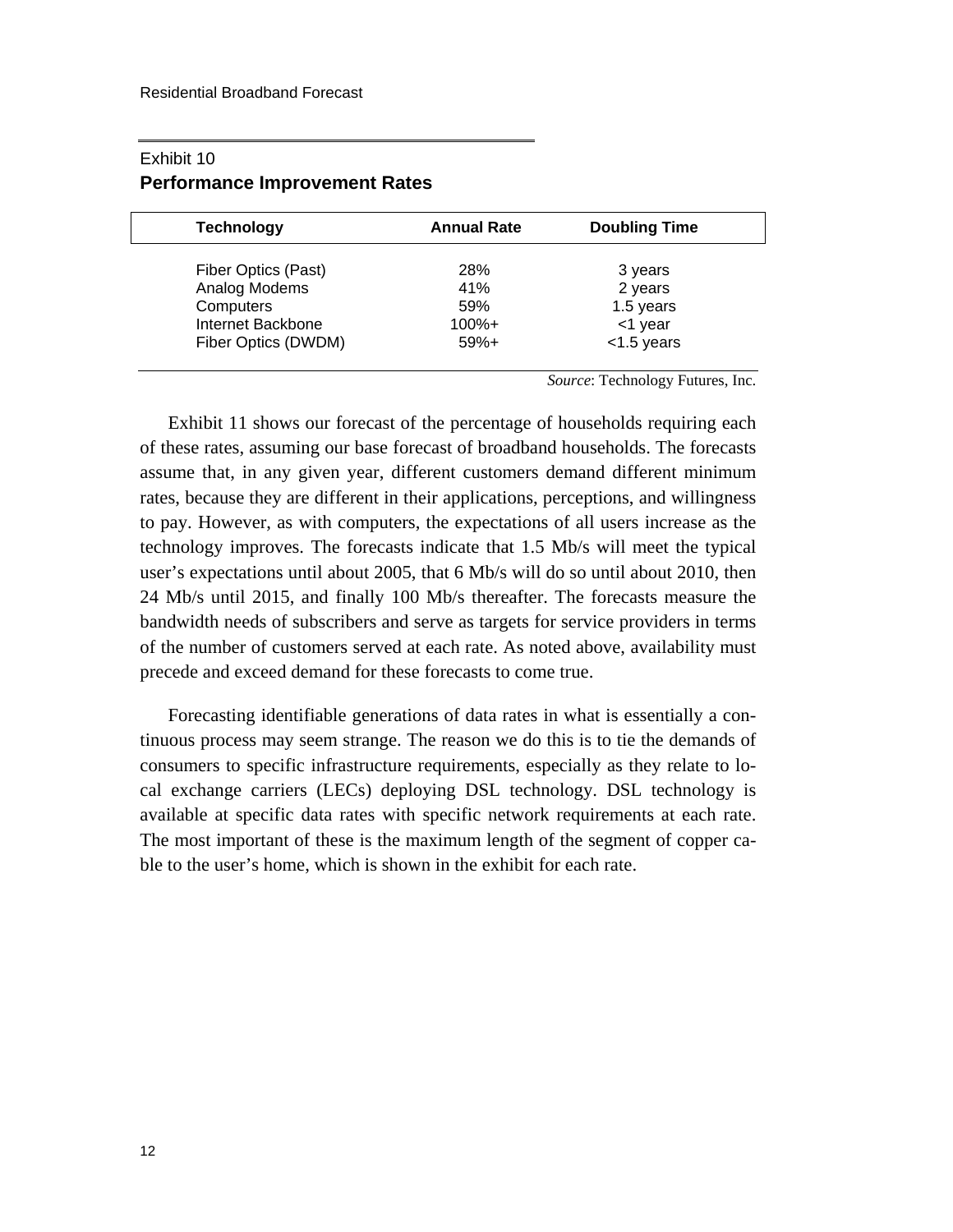| <b>Technology</b>   | <b>Annual Rate</b> | <b>Doubling Time</b> |
|---------------------|--------------------|----------------------|
| Fiber Optics (Past) | 28%                | 3 years              |
| Analog Modems       | 41%                | 2 years              |
| Computers           | 59%                | 1.5 years            |
| Internet Backbone   | $100% +$           | <1 year              |
| Fiber Optics (DWDM) | $59%+$             | $<$ 1.5 years        |

#### Exhibit 10 **Performance Improvement Rates**

*Source*: Technology Futures, Inc.

Exhibit 11 shows our forecast of the percentage of households requiring each of these rates, assuming our base forecast of broadband households. The forecasts assume that, in any given year, different customers demand different minimum rates, because they are different in their applications, perceptions, and willingness to pay. However, as with computers, the expectations of all users increase as the technology improves. The forecasts indicate that 1.5 Mb/s will meet the typical user's expectations until about 2005, that 6 Mb/s will do so until about 2010, then 24 Mb/s until 2015, and finally 100 Mb/s thereafter. The forecasts measure the bandwidth needs of subscribers and serve as targets for service providers in terms of the number of customers served at each rate. As noted above, availability must precede and exceed demand for these forecasts to come true.

Forecasting identifiable generations of data rates in what is essentially a continuous process may seem strange. The reason we do this is to tie the demands of consumers to specific infrastructure requirements, especially as they relate to local exchange carriers (LECs) deploying DSL technology. DSL technology is available at specific data rates with specific network requirements at each rate. The most important of these is the maximum length of the segment of copper cable to the user's home, which is shown in the exhibit for each rate.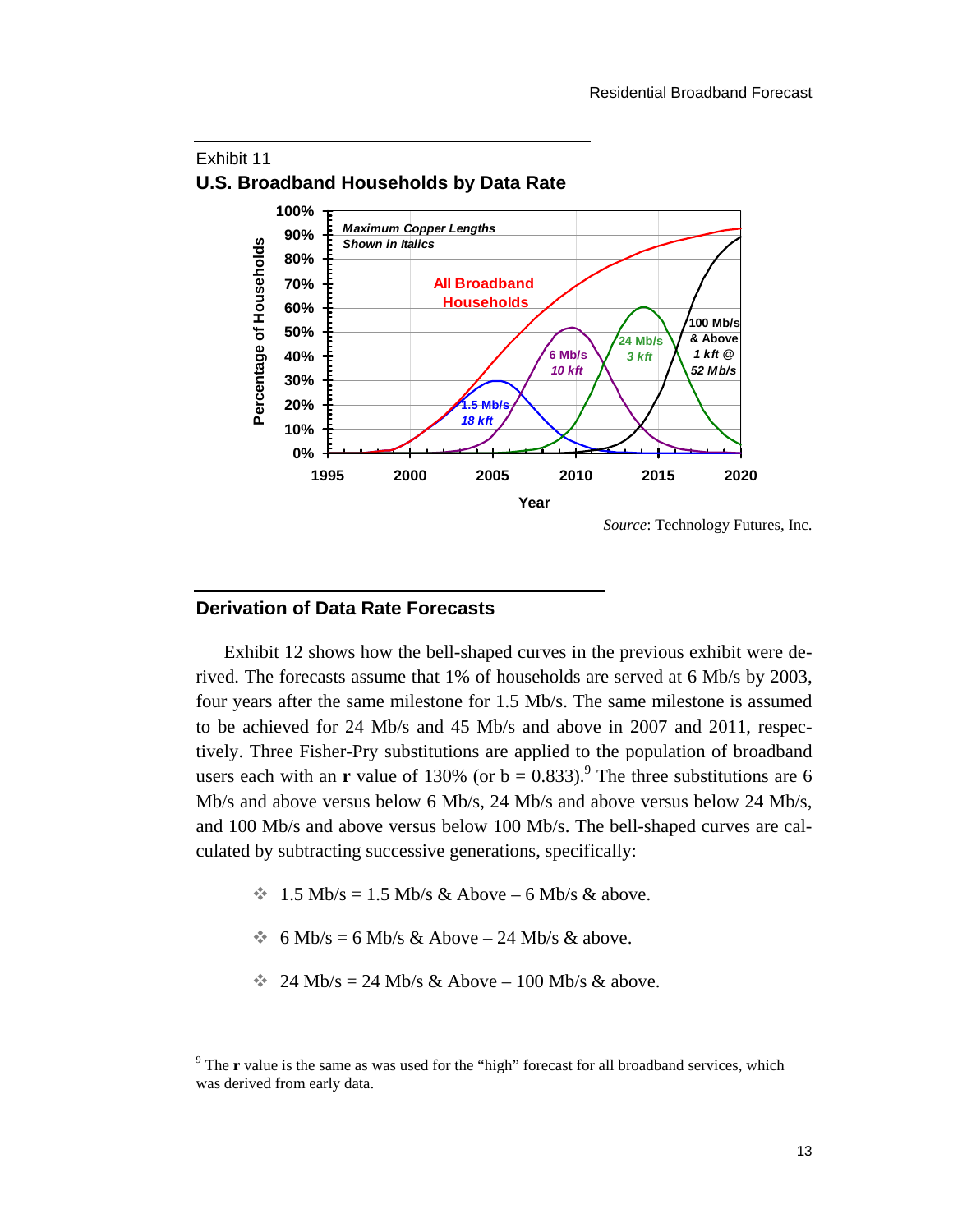

#### Exhibit 11 **U.S. Broadband Households by Data Rate**

#### **Derivation of Data Rate Forecasts**

-

Exhibit 12 shows how the bell-shaped curves in the previous exhibit were derived. The forecasts assume that 1% of households are served at 6 Mb/s by 2003, four years after the same milestone for 1.5 Mb/s. The same milestone is assumed to be achieved for 24 Mb/s and 45 Mb/s and above in 2007 and 2011, respectively. Three Fisher-Pry substitutions are applied to the population of broadband users each with an **r** value of 130% (or  $b = 0.833$ ).<sup>9</sup> The three substitutions are 6 Mb/s and above versus below 6 Mb/s, 24 Mb/s an[d a](#page-14-0)bove versus below 24 Mb/s, and 100 Mb/s and above versus below 100 Mb/s. The bell-shaped curves are calculated by subtracting successive generations, specifically:

- $\approx 1.5$  Mb/s = 1.5 Mb/s & Above 6 Mb/s & above.
- $\bullet$  6 Mb/s = 6 Mb/s & Above 24 Mb/s & above.
- $\approx$  24 Mb/s = 24 Mb/s & Above 100 Mb/s & above.

<span id="page-14-0"></span><sup>&</sup>lt;sup>9</sup> The **r** value is the same as was used for the "high" forecast for all broadband services, which was derived from early data.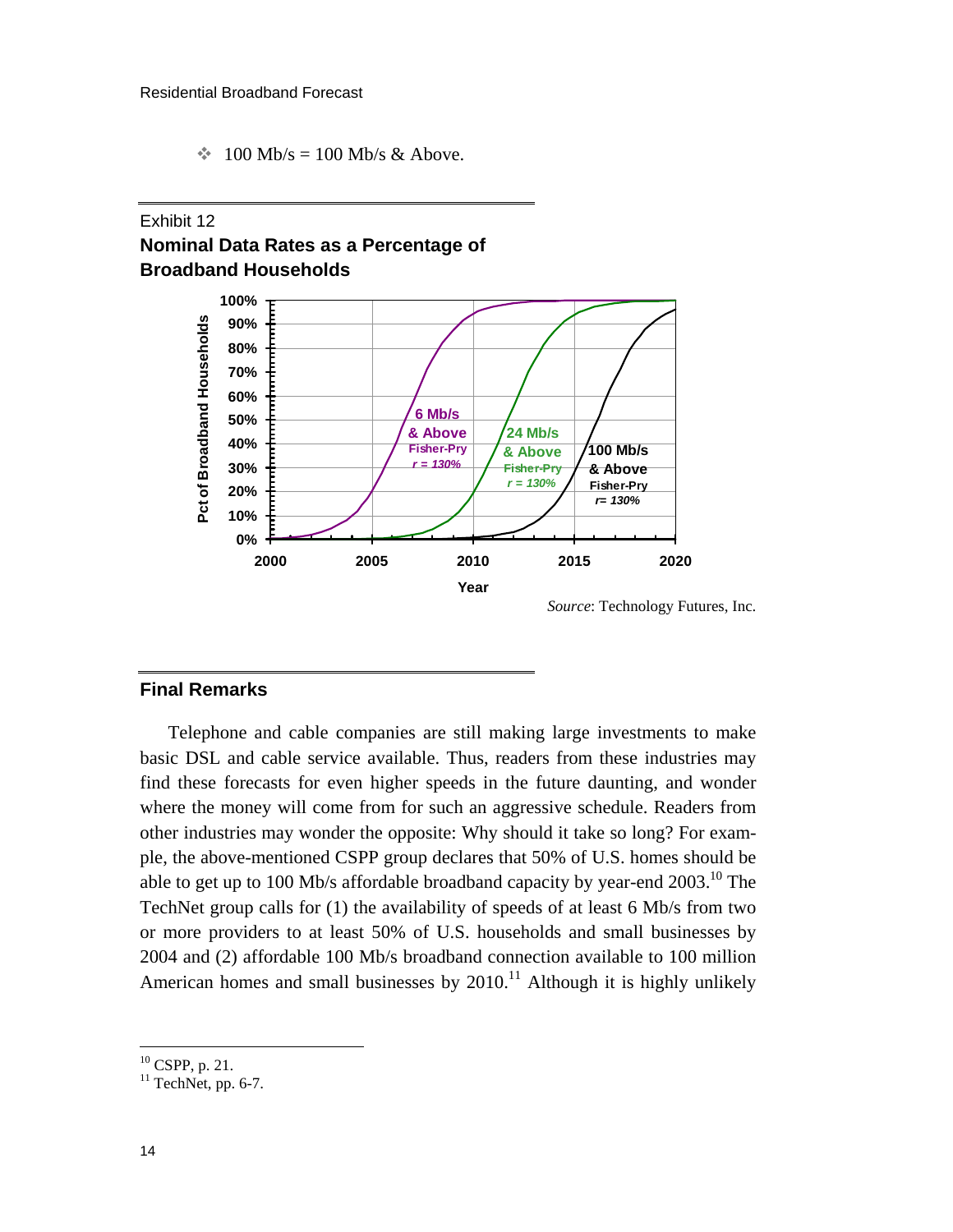$\text{*}$  100 Mb/s = 100 Mb/s & Above.

#### Exhibit 12 **Nominal Data Rates as a Percentage of Broadband Households**



#### **Final Remarks**

Telephone and cable companies are still making large investments to make basic DSL and cable service available. Thus, readers from these industries may find these forecasts for even higher speeds in the future daunting, and wonder where the money will come from for such an aggressive schedule. Readers from other industries may wonder the opposite: Why should it take so long? For example, the above-mentioned CSPP group declares that 50% of U.S. homes should be able to get up to 100 Mb/s affordable broadband capacity by year-end 2003[.](#page-15-0)<sup>10</sup>The TechNet group calls for (1) the availability of speeds of at least 6 Mb/s from two or more providers to at least 50% of U.S. households and small businesses by 2004 and (2) affordable 100 Mb/s broadband connection available to 100 million Americanhomes and small businesses by  $2010<sup>11</sup>$  Although it is highly unlikely

l

<span id="page-15-0"></span> $10$  CSPP, p. 21.

<span id="page-15-1"></span> $11$  TechNet, pp. 6-7.